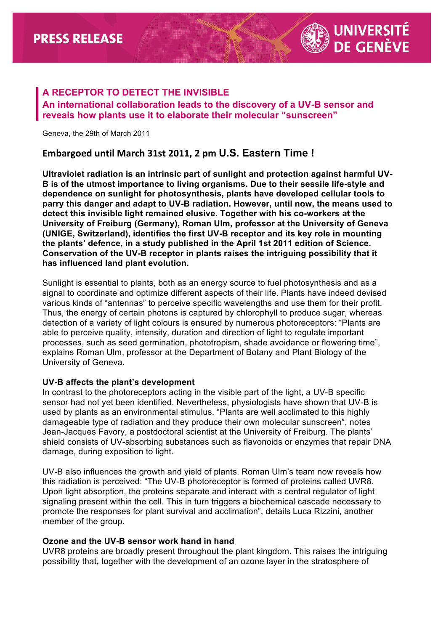

## **A RECEPTOR TO DETECT THE INVISIBLE An international collaboration leads to the discovery of a UV-B sensor and reveals how plants use it to elaborate their molecular "sunscreen"**

Geneva, the 29th of March 2011

## **Embargoed until March 31st 2011, 2 pm U.S. Eastern Time!**

**Ultraviolet radiation is an intrinsic part of sunlight and protection against harmful UV-B is of the utmost importance to living organisms. Due to their sessile life-style and dependence on sunlight for photosynthesis, plants have developed cellular tools to parry this danger and adapt to UV-B radiation. However, until now, the means used to detect this invisible light remained elusive. Together with his co-workers at the University of Freiburg (Germany), Roman Ulm, professor at the University of Geneva (UNIGE, Switzerland), identifies the first UV-B receptor and its key role in mounting the plants' defence, in a study published in the April 1st 2011 edition of Science. Conservation of the UV-B receptor in plants raises the intriguing possibility that it has influenced land plant evolution.**

Sunlight is essential to plants, both as an energy source to fuel photosynthesis and as a signal to coordinate and optimize different aspects of their life. Plants have indeed devised various kinds of "antennas" to perceive specific wavelengths and use them for their profit. Thus, the energy of certain photons is captured by chlorophyll to produce sugar, whereas detection of a variety of light colours is ensured by numerous photoreceptors: "Plants are able to perceive quality, intensity, duration and direction of light to regulate important processes, such as seed germination, phototropism, shade avoidance or flowering time", explains Roman Ulm, professor at the Department of Botany and Plant Biology of the University of Geneva.

## **UV-B affects the plant's development**

In contrast to the photoreceptors acting in the visible part of the light, a UV-B specific sensor had not yet been identified. Nevertheless, physiologists have shown that UV-B is used by plants as an environmental stimulus. "Plants are well acclimated to this highly damageable type of radiation and they produce their own molecular sunscreen", notes Jean-Jacques Favory, a postdoctoral scientist at the University of Freiburg. The plants' shield consists of UV-absorbing substances such as flavonoids or enzymes that repair DNA damage, during exposition to light.

UV-B also influences the growth and yield of plants. Roman Ulm's team now reveals how this radiation is perceived: "The UV-B photoreceptor is formed of proteins called UVR8. Upon light absorption, the proteins separate and interact with a central regulator of light signaling present within the cell. This in turn triggers a biochemical cascade necessary to promote the responses for plant survival and acclimation", details Luca Rizzini, another member of the group.

## **Ozone and the UV-B sensor work hand in hand**

UVR8 proteins are broadly present throughout the plant kingdom. This raises the intriguing possibility that, together with the development of an ozone layer in the stratosphere of